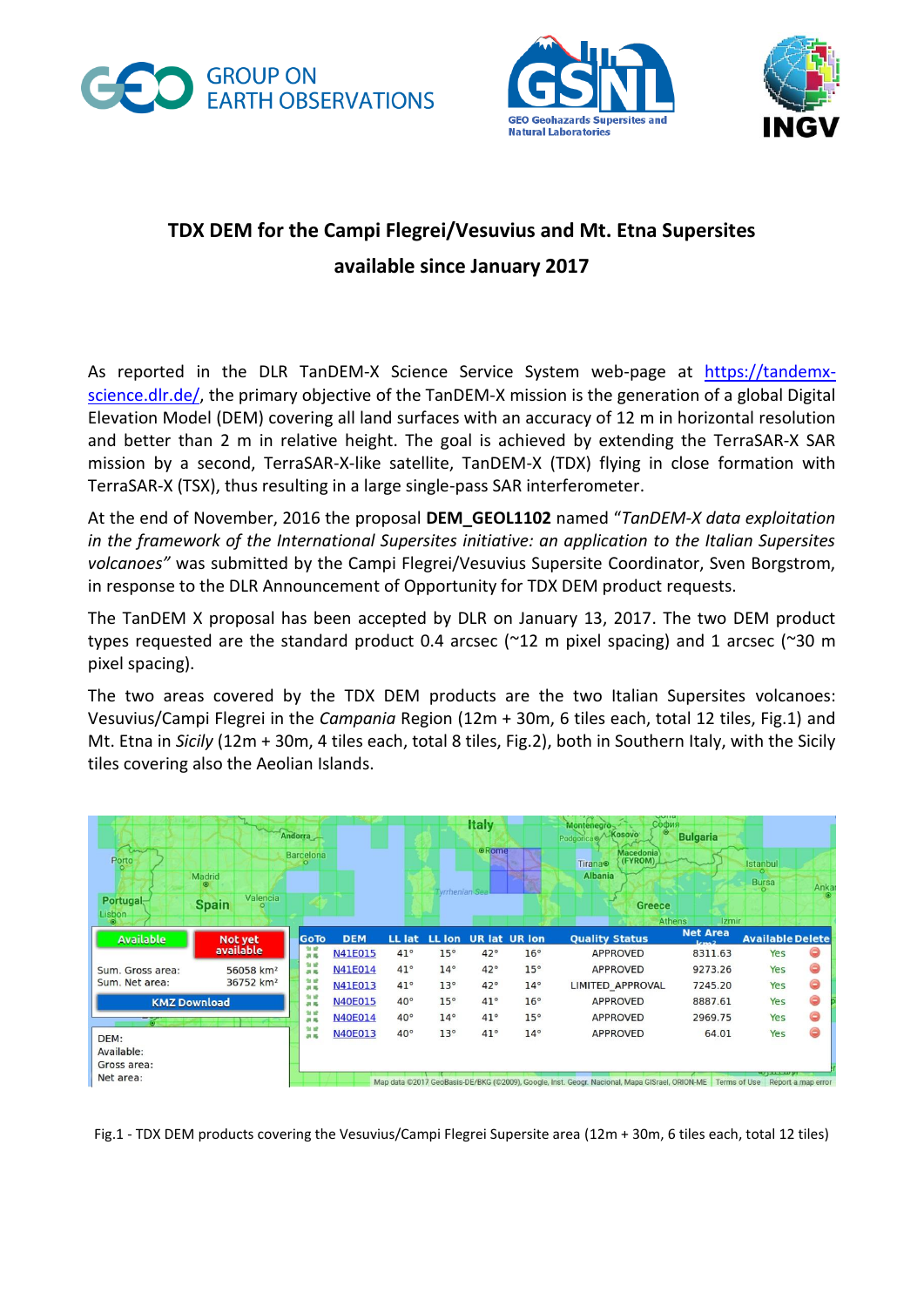





## **TDX DEM for the Campi Flegrei/Vesuvius and Mt. Etna Supersites available since January 2017**

As reported in the DLR TanDEM-X Science Service System web-page at [https://tandemx](https://tandemx-science.dlr.de/)[science.dlr.de/,](https://tandemx-science.dlr.de/) the primary objective of the TanDEM-X mission is the generation of a global Digital Elevation Model (DEM) covering all land surfaces with an accuracy of 12 m in horizontal resolution and better than 2 m in relative height. The goal is achieved by extending the TerraSAR-X SAR mission by a second, TerraSAR-X-like satellite, TanDEM-X (TDX) flying in close formation with TerraSAR-X (TSX), thus resulting in a large single-pass SAR interferometer.

At the end of November, 2016 the proposal **DEM\_GEOL1102** named "*TanDEM-X data exploitation in the framework of the International Supersites initiative: an application to the Italian Supersites volcanoes"* was submitted by the Campi Flegrei/Vesuvius Supersite Coordinator, Sven Borgstrom, in response to the DLR Announcement of Opportunity for TDX DEM product requests.

The TanDEM X proposal has been accepted by DLR on January 13, 2017. The two DEM product types requested are the standard product 0.4 arcsec (~12 m pixel spacing) and 1 arcsec (~30 m pixel spacing).

The two areas covered by the TDX DEM products are the two Italian Supersites volcanoes: Vesuvius/Campi Flegrei in the *Campania* Region (12m + 30m, 6 tiles each, total 12 tiles, Fig.1) and Mt. Etna in *Sicily* (12m + 30m, 4 tiles each, total 8 tiles, Fig.2), both in Southern Italy, with the Sicily tiles covering also the Aeolian Islands.



Fig.1 - TDX DEM products covering the Vesuvius/Campi Flegrei Supersite area (12m + 30m, 6 tiles each, total 12 tiles)